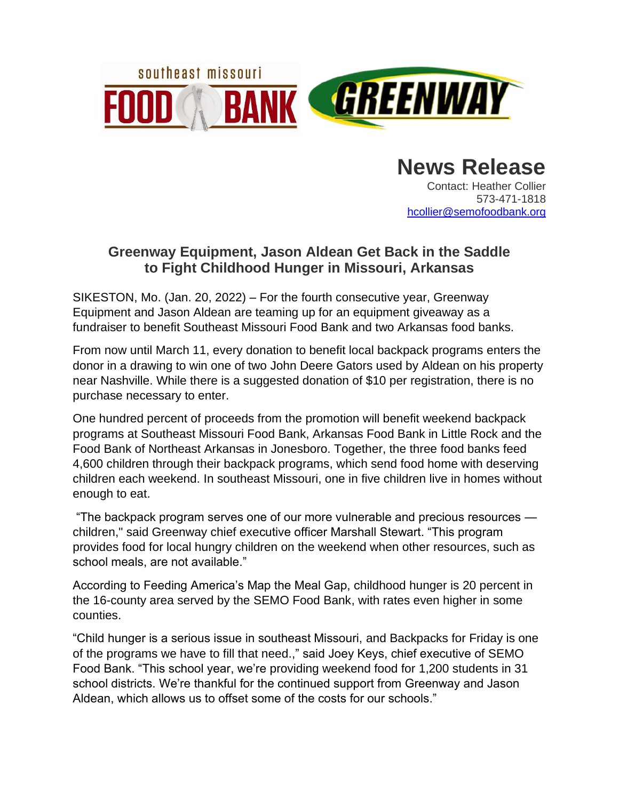

**News Release** Contact: Heather Collier 573-471-1818 [hcollier@semofoodbank.org](mailto:lchurch@semofoodbank.org)

## **Greenway Equipment, Jason Aldean Get Back in the Saddle to Fight Childhood Hunger in Missouri, Arkansas**

SIKESTON, Mo. (Jan. 20, 2022) – For the fourth consecutive year, Greenway Equipment and Jason Aldean are teaming up for an equipment giveaway as a fundraiser to benefit Southeast Missouri Food Bank and two Arkansas food banks.

From now until March 11, every donation to benefit local backpack programs enters the donor in a drawing to win one of two John Deere Gators used by Aldean on his property near Nashville. While there is a suggested donation of \$10 per registration, there is no purchase necessary to enter.

One hundred percent of proceeds from the promotion will benefit weekend backpack programs at Southeast Missouri Food Bank, Arkansas Food Bank in Little Rock and the Food Bank of Northeast Arkansas in Jonesboro. Together, the three food banks feed 4,600 children through their backpack programs, which send food home with deserving children each weekend. In southeast Missouri, one in five children live in homes without enough to eat.

"The backpack program serves one of our more vulnerable and precious resources children," said Greenway chief executive officer Marshall Stewart. "This program provides food for local hungry children on the weekend when other resources, such as school meals, are not available."

According to Feeding America's Map the Meal Gap, childhood hunger is 20 percent in the 16-county area served by the SEMO Food Bank, with rates even higher in some counties.

"Child hunger is a serious issue in southeast Missouri, and Backpacks for Friday is one of the programs we have to fill that need.," said Joey Keys, chief executive of SEMO Food Bank. "This school year, we're providing weekend food for 1,200 students in 31 school districts. We're thankful for the continued support from Greenway and Jason Aldean, which allows us to offset some of the costs for our schools."